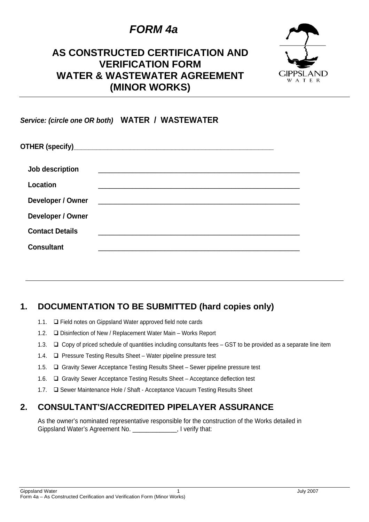## *FORM 4a*

### **AS CONSTRUCTED CERTIFICATION AND VERIFICATION FORM WATER & WASTEWATER AGREEMENT (MINOR WORKS)**



*Service: (circle one OR both)* **WATER / WASTEWATER** 

| Job description        |  |
|------------------------|--|
| Location               |  |
| Developer / Owner      |  |
| Developer / Owner      |  |
| <b>Contact Details</b> |  |
| <b>Consultant</b>      |  |

#### **1. DOCUMENTATION TO BE SUBMITTED (hard copies only)**

- 1.1.  $\Box$  Field notes on Gippsland Water approved field note cards
- 1.2.  $\Box$  Disinfection of New / Replacement Water Main Works Report
- 1.3.  $\Box$  Copy of priced schedule of quantities including consultants fees GST to be provided as a separate line item
- 1.4.  $\Box$  Pressure Testing Results Sheet Water pipeline pressure test
- 1.5. Gravity Sewer Acceptance Testing Results Sheet Sewer pipeline pressure test
- 1.6. Gravity Sewer Acceptance Testing Results Sheet Acceptance deflection test
- 1.7.  $\Box$  Sewer Maintenance Hole / Shaft Acceptance Vacuum Testing Results Sheet

#### **2. CONSULTANT'S/ACCREDITED PIPELAYER ASSURANCE**

As the owner's nominated representative responsible for the construction of the Works detailed in Gippsland Water's Agreement No. \_\_\_\_\_\_\_\_\_\_\_\_\_, I verify that: